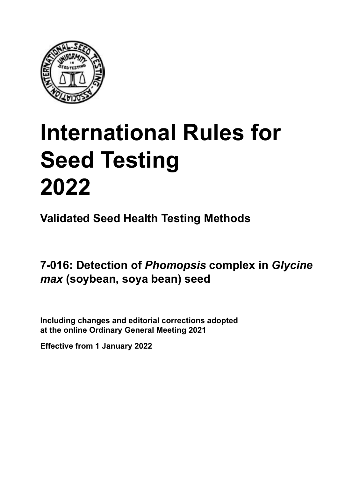

## **International Rules for Seed Testing von Saatgut 2022 2022 Semences 2022 International Rules for Seed Testing 2022**

**Métodos Validados para Análisis de Sanidad de Semillas Validate Méthodes Validées pour Analyse Sanitaire des Semences Validated Seed Health Testing Methods**

7-016: Detection of *Phomopsis* complex in *Glycine max* (soybean, soya bean) seed

Including changes and editorial corrections adopted at the online Ordinary General Meeting 2021

**Effective from 1 January 2022**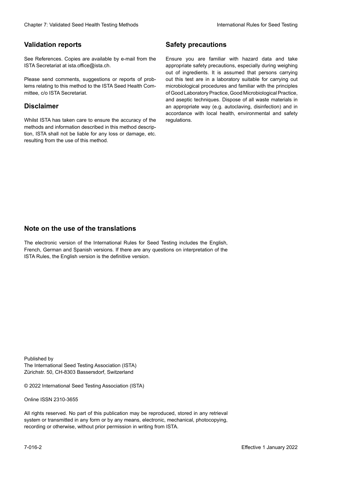### **Validation reports**

See References. Copies are available by e-mail from the<br>ISTA Secretariat at ista.office@ista.ch. ISTA Secretariat at ista.office@ista.ch.

lems relating to this method to the ISTA Seed Health Com-<br>mittee, c/o ISTA Secretariat. mittee, c/o ISTA Secretariat.<br>i Please send comments, suggestions or reports of prob-

## **Limitation de responsabilité Disclaimer**

Whilst ISTA has taken care to ensure the accuracy of the<br>methods and information described in this method description, ISTA shall not be liable for any loss or damage, etc.<br>resulting from the use of this method.<br>. resulting from the use of this method. Whilst ISTA has taken care to ensure the accuracy of the methods and information described in this method descrip-<br>tion, ISTA shall not be liable for any loss or damage, etc. tion, ISTA shall not be liable for any loss or damage, etc.<br>resulting from the use of this method.

## **Medidas de seguridad Sicherheitsmaßnahmen Sécurité Safety precautions**

Ensure you are familiar with hazard data and take Ensure you are familiar with hazard data and take<br>appropriate safety precautions, especially during weighing out of ingredients. It is assumed that persons carrying out this test are in a laboratory suitable for carrying out microbiological procedures and familiar with the principles of Good Laboratory Practice, Good Microbiological Practice, and aseptic techniques. Dispose of all waste materials in an appropriate way (e.g. autoclaving, disinfection) and in accordance with local health, environmental and safety regulations. Glade 7: Validated Deed Health Testing holesdos<br>
Gallet Corresponds<br>
Validation responds we are stated as the company of the system of the New York of the Saat guide of the New York Corresponds were also the Corresponds of microbiological procedures and familiar with the principles<br>of Good Laboratory Practice, Good Microbiological Practice,<br>and aseptic techniques. Dispose of all waste materials in<br>an appropriate way (e.g. autoclaving, disinf fallstoffe sind auf geeignete Weise und entsprechend der vor Ort über der vor Ort über und Umwelt- und Umwelt-<br>Eine und Umwelt-Effective Counter of Nicholas Devel Teach Teach Teach Devel Safety precedutions<br>
Validation reports<br>
Safety precedution reports and the symbol state of the sementic of the symbol state of the based delay and share<br>
Propose of Good Laboratory Practice, Good Microbiological Practice,<br>and aseptic techniques. Dispose of all waste materials in<br>an appropriate way (e.g. autoclaving, disinfection) and in Validation reports<br>
Since The Texture 1988 and the mediator of the Since Theorem and Texture 1990 and the mediator of the mediator<br>
Since and out the properties and the mediator of the mediator of the mediator of the media Ensure you are familiar with hazard data and take<br>appropriate safety precautions, especially during weighing<br>out of ingredients. It is assumed that persons carrying<br>out this test are in a laboratory suitable for carrying o

## **Nota sobre el uso de traducciones Anmerkung zur Benutzung der Übersetzungen Note on the use of the translations**

The electronic version of the International Rules for Seed Testing includes the English, French, German and Spanish versions. If there are any questions on interpretation of the ISTA Rules, the English version is the definitive version. The electronic version of the International Rules for Seed Testing includes the English,<br>French, German and Spanish versions. If there are any questions on interpretation of the<br>ISTA Rules, the English version is the defin The electronic version of the International Rules for Seed Testing includes the English,<br>French, German and Spanish versions. If there are any questions on interpretation of the

Published by **Extending Association (ISTA)** The International Seed Testing Association (ISTA) Zürichstr. 50, CH-8303 Bassersdorf, Switzerland

© 2022 International Seed Testing Association (ISTA)

Alle Rechte vorbehalten. Kein Teil dieses Werkes darf in irgendwelcher Form oder durch Online ISSN 2310-3655

All rights reserved. No part of this publication may be reproduced, stored in any retrieval All rights reserved. No part of this publication may be reproduced, stored in any retrieval<br>system or transmitted in any form or by any means, electronic, mechanical, photocopying,<br>recording or otherwise, without prior per recording or otherwise, without prior permis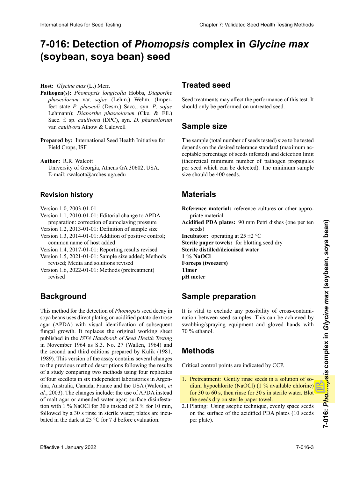## 7-016: Detection of *Phomopsis* complex in *Glycine max* **semillas de** *Glycine max* **(soja, poroto soja) von** *Glycine max* **(Sojabohne) semences de** *Glycine max* **(soja) (soybean, soya bean) seed**

**Host:** *Glycine max* (L.) Merr.

- Pathogen(s): Phomopsis longicolla Hobbs, Diaporthe<br>phaseolorum var. sojae (Lehm.) Wehm. (Imper-<br>fect state P. phaseoli (Desm.) Sacc., syn. P. sojae *phaseolorum* var. *sojae* (Lehm.) Wehm. (Imperfect state P. phaseoli (Desm.) Sacc., syn. P. sojae Lehmann); *Diaporthe phaseolorum* (Cke. & Ell.) Lehmann); *Diaporthe phaseolorum* (Cke. & Ell.)<br>Sacc. f. sp. *caulivora* (DPC), syn. *D. phaseolorum caulivora* Athow & Caldwell var. *caulivora* Athow & Caldwell
- **Prepared by:** International Seed Health Initiative for<br>Field Crops, ISF Field Crops, ISF
- **Autor:** R.R. Walcott **Autoren:** R. R. Walcott **Author:** R.R. Walcott University of Georgia, Athens GA 30602, USA. E-mail: rwalcott@arches.uga.edu

## **Historial de revisiones Revisionsstand Historique de la révision Revision history**

- Versión 1.0, 2003-01-01 Version 1.0, 2003-01-01
- Version 1.0, 2003-01-01<br>Version 1.1, 2010-01-01: Editorial change to APDA preparation: correction of autoclaving pressure
- Version 1.2, 2013-01-01: Definition of sample size
- Version 1.3, 2014-01-01: Addition of positive control; common name of host added
- Version 1.4, 2017-01-01: Reporting results revised
- Version 1.5, 2021-01-01: Sample size added; Methods revised; Media and solutions revised
- Version 1.6, 2022-01-01: Methods (pretreatment)<br>revised revised and the state of the state of the state of the state of the state of the state of the state of the state of the state of the state of the state of the state of the state of the state of the state of the state of th

#### **Antecedentes** Version 1.6, 2022-01-01: "Methoden" (Vorbehandlung) **Background** révisé

soya beans uses direct plating on acidified potato dextrose soya beans uses direct plating on acidified potato dextrose<br>agar (APDA) with visual identification of subsequent fungal growth. It replaces the original working sheet published in the ISTA Handbook of Seed Health Testing<br>in November 1964 as S.3. No. 27 (Wallen, 1964) and in November 1964 as S.3. No. 27 (Wallen, 1964) and the second and third editions prepared by Kulik (1981, the second and third editions prepared by Kulik (1981, 1989). This version of the assay contains several changes 1989). This version of the assay contains several changes to the previous method descriptions following the results of a study comparing two methods using four replicates of four seedlots in six independent laboratories in Argenof four seedlots in six independent laboratories in Argentina, Australia, Canada, France and the USA (Walcott, et to the previous method descriptions following the results<br>of a study comparing two methods using four replicates<br>of four seedlots in six independent laboratories in Argen-<br>tina, Australia, Canada, France and the USA (Walco of malt agar or amended water agar; surface disinfestation with 1 % NaOCl for 30 s instead of 2 % for 10 min, tion with 1 % NaOCl for 30 s instead of 2 % for 10 min,<br>followed by a 30 s rinse in sterile water; plates are incubated in the dark at 25 °C for 7 d before evaluation. iten, Australien, Australien, Australien, Australien, Australien, Australien, Australien, Australien, Australien, Australien, Australien, Australien, Australien, Australien, Australien, Australien, Australien, Australien, of malt agar or amended water agar; surface disinfesta-<br>tion with 1 % NaOCl for 30 s instead of 2 % for 10 min,<br>followed by a 30 s rinse in sterile water; plates are incu-<br>bated in the dark at 25 °C for 7 d before evaluat However,  $G_0$  between the best close the space of the space of the space of the space of the space of the space of the space of the space of the space of the space of the space of the space of the space of the space of t International Rule International Rules for Seed Testing Complex Complex in *Glycine max*<br>
(Soybean, soya bean) seed<br>
Treated seed<br>
Health Chapter maximization international Rules Chapter international Rules for European C This method for the detection of *Phomopsis* seed decay in fungal growth. It replaces the original working sheet published in the *ISTA Handbook of Seed Health Testing* in November 1964 as S.3. No. 27 (Wallen, 1964) and<br>the second and third editions prepared by Kulik (1981,<br>1989). This version of the assay contains several changes<br>to the previous method descriptions following the results<br> tina, Australia, Canada, France and the USA (Walcott, *et al.*, 2003). The changes include: the use of APDA instead of malt agar or amended water agar; surface disinfesta-

## **Treated seed**

**Semilla tratada** Seed treatments may affect the performance of this test. It should only be performed on untreated seed.

### $Sample\ size$ der Auswertung.

The sample (total number of seeds tested) size to be tested ceptable percentage of seeds infested) and detection limit (theoretical minimum number of pathogen propagules size should be 400 seeds. ceptable percentage of seeds infested) and detection limit per seed which can be detected). The minimum sample **Semences traitées** depends on the desired tolerance standard (maximum ac-

#### deseada (porcentaje máximo aceptable de semillas infestadas) y del límite de detección (número mínimo teórico mínimo teórico mínimo teórico mínimo teórico mínimo te **Probengröße** La taille de l'échantillon (nombre total de semences tes-**Materials**

**Reference material:** reference cultures or other appropriate material priate material **Reference material:** reference cultures or other appropriate material<br>Acidified PDA plates: 90 mm Petri dishes (one per ten seeds)

Acidified PDA plates: 90 mm Petri dishes (one per ten seeds) in fektigen pro Samen, die nachgewiesen werden pro Samen, die nachgewiesen werden werden werden werden w

**Incubator:** operating at  $25 \pm 2$  °C **Sterile distilled/deionised water 1** % NaOCl **Forceps (tweezers)**  $\mathbf{p}$ **Incubation and a 25 ±2 °C**  $\mathbf{R}$  <sup>reference get and and  $\mathbf{R}$  and  $\mathbf{R}$  and  $\mathbf{R}$  appropriate generalism of  $\mathbf{R}$  and  $\mathbf{R}$  and  $\mathbf{R}$  and  $\mathbf{R}$  are generalism of  $\mathbf{R}$  and  $\mathbf{R}$  and  $\mathbf{R}$  </sup> Sterile paper towels: for blotting seed dry **Mathematics Exercise de référence ou autre de référence ou autre de référence ou autre de référence ou autre de référence de référence de référence de référence de référence de référence de référence de référence de réf** 

#### **Agua destilada/desionizada estéril NaOCl 1 %** Samen). **APDA-Platten:** 90 mm Petrischalen (eine Platte für 10 (une boîte pour 10 semences)  ${\sf Sample~preparation}$

It is vital to exclude any possibility of cross-contamination between seed samples. This can be achieved by swabbing/spraying equipment and gloved hands with 70 % ethanol.

#### es importante evitar cualquier posibilidad de contamina**pH-Meter Methods**

Critical control points are indicated by CCP.

- dium hypochlorite (NaOCl) (1 % available chlorine) for 30 to 60 s, then rinse for 30 s in sterile water. Blot 1. Pretreatment: Gently rinse seeds in a solution of sodium hypochlorite (NaOCl)  $(1\%$  available chlorine) the seeds dry on sterile paper towel. 1. Pretreatment: Gently rinse seeds in a solution of sodium hypochlorite (NaOCl) (1 % available chlorine) for 30 to 60 s, then rinse for 30 s in sterile water. Blot
- 2.1 Plating: Using aseptic technique, evenly space seeds per plate). on the surface of the acidified PDA plates (10 seeds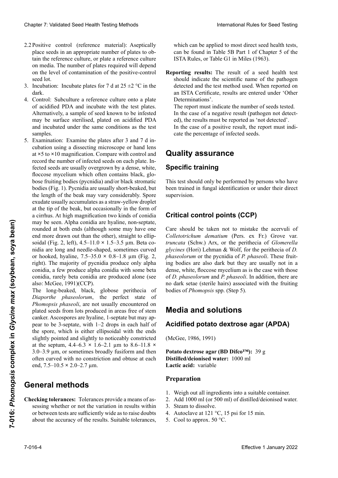- 2.2 Positive control (reference material): Aseptically place seeds in an appropriate number of plates to obtain the reference culture, or plate a reference culture on media. The number of plates required will depend on the level of contamination of the positive-control<br>seed lot. acid lot.  $\mathcal{L}$  seed lot.
- 3. Incubation: Incubate plates for 7 d at  $25 \pm 2$  °C in the dark. ticamente las semillas en un número apropiado de pladark. Das Saatgut auf einem sterilen Papier-Saatgut auf einem sterilen Papier-Saatgut auf einem sterilen Papi dank 30 s dans de l'eau stérile. Eponger les graines pour le separat de la pour les graines pour les graines pour le pour le pour le pour le pour le pour le pour le pour le pour le pour le pour le pour le pour le pour le p
- 4. Control: Subculture a reference culture onto a plate of acidified PDA and incubate with the test plates. Alternatively, a sample of seed known to be infested may be surface sterilised, plated on acidified PDA and incubated under the same conditions as the test<br>samples. samples.
- 5. Examination: Examine the plates after 3 and 7 d in-Examination: Examine the plates after 3 and 7 d in-<br>cubation using a dissecting microscope or hand lens at ×5 to ×10 magnification. Compare with control and at  $\times$ 5 to  $\times$ 10 magnification. Compare with control and record the number of infected seeds on each plate. Infected seeds are usually overgrown by a dense, white, floccose mycelium which often contains black, globose fruiting bodies (pycnidia) and/or black stromatic bose fruiting bodies (pycnidia) and/or black stromatic<br>bodies (Fig. 1). Pycnidia are usually short-beaked, but the length of the beak may vary considerably. Spore exudate usually accumulates as a straw-yellow droplet at the tip of the beak, but occasionally in the form of a cirrhus. At high magnification two kinds of conidia may be seen. Alpha conidia are hyaline, non-septate, may be seen. Alpha conidia are hyaline, non-septate,<br>rounded at both ends (although some may have one end more drawn out than the other), straight to ellipsoidal (Fig. 2, left), 4.5–11.0 × 1.5–3.5 µm. Beta cosoidal (Fig. 2, left), 4.5–11.0 × 1.5–3.5 µm. Beta co-<br>nidia are long and needle-shaped, sometimes curved or hooked, hyaline,  $7.5-35.0 \times 0.8-1.8 \mu m$  (Fig. 2, soidal (Fig. 2, left),  $4.5-11.0 \times 1.5-3.5$  µm. Beta conidia are long and needle-shaped, sometimes curved<br>or hooked, hyaline,  $7.5-35.0 \times 0.8-1.8$  µm (Fig. 2,<br>right). The majority of pycnidia produce only alpha conidia, a few produce alpha conidia with some beta<br>conidia, rarely beta conidia are produced alone (see conidia, rarely beta conidia are produced alone (see also: McGee,  $1991)$ (CCP). Clearlier 2. Validated Steel Feschi Testing holistok stepsiel with a method in the projective control of the stepsiel of the stepsiel of the stepsiel of the stepsiel of the stepsiel of the stepsiel of the stepsiel of the conidia, a few produce alpha conidia with some beta<br>conidia, rarely beta conidia are produced alone (see<br>also: McGee, 1991)(CCP).<br>The long-beaked, black, globose perithecia of<br>*Diaporthe phaseolorum*, the perfect state of Chaos 7 Validanti Searl Health Formio and the branching term is the three chaosing of the formio and the formio and the specific term is the specific term in the specific term is the specific term in the specific term is Pearlies cannot freiences material Asyptoche (which are the synthetic treat discussed matrices and the synthetic scale in the following the synthetic scale in the synthetic scale in the synthetic scale in the synthetic sc bose fruiting bodies (pycnidia) and/or black stromatic<br>bodies (Fig. 1). Pycnidia are usually short-beaked, but<br>the length of the beak may vary considerably. Spore<br>exudate usually accumulates as a straw-yellow droplet<br>at th nidia are long and needle-shaped, sometimes curved<br>or hooked, hyaline,  $7.5-35.0 \times 0.8-1.8 \mu m$  (Fig. 2,<br>right). The majority of pycnidia produce only alpha<br>conidia, a few produce alpha conidia with some beta<br>conidia, rare Poster accord (results. Suitable to the results. Supplied to the results. Suitable to the results. The results are the results. The results are the results. The results are the results of the results. The results are the r

The long-beaked, black, globose perithecia of Diaporthe phaseolorum, the perfect state of Phomopsis phaseoli, are not usually encountered on plated seeds from lots produced in areas free of stem canker. Ascospores are hyaline, 1-septate but may appear to be 3-septate, with 1–2 drops in each half of the spore, which is either ellipsoidal with the ends slightly pointed and slightly to noticeably constricted at the septum,  $4.4-6.3 \times 1.6-2.1 \mu m$  to  $8.6-11.8 \times$  $3.0-3.9$  µm, or sometimes broadly fusiform and then often curved with no constriction and obtuse at each end,  $7.5 - 10.5 \times 2.0 - 2.7 \mu m$ . 3.0–3.9  $\mu$ m, or sometimes broadly fusiform and then<br>often curved with no constriction and obtuse at each<br>end, 7.5–10.5 × 2.0–2.7  $\mu$ m. The long-beaked, black, globose perithecia of *Diaporthe phaseolorum*, the perfect state of *Phomopsis phaseoli*, are not usually encountered on plated seeds from lots produced in areas free of stem canker. Ascospores are the spore, which is either ellipsoidal with the ends<br>slightly pointed and slightly to noticeably constricted<br>at the septum,  $4.4-6.3 \times 1.6-2.1 \mu m$  to  $8.6-11.8 \times$ <br> $3.0-3.9 \mu m$ , or sometimes broadly fusiform and then<br>often **Effective 1** Alternation are hypins, non-septative 1 Data and noted that the accretion of more data and noted that the observation of the content of the content of the component of the content of the content of the conte *Phomopsis phaseoli*, are not usually encountered on plated seeds from lots produced in areas free of stem canker. Ascospores are hyaline, 1-septate but may appear to be 3-septate, with 1–2 drops in each half of<br>the spore, which is either ellipsoidal with the ends<br>slightly pointed and slightly to noticeably constricted<br>at the septum,  $4.4-6.3 \times 1.6-2.1 \mu m$  to  $8.6-11.8 \times$ 

### libres del cancro del tallo. Las ascosporas son hialinas, eneral methods<br>eneral methods eneral methods produisent seules alpha, peu produisent des contracts alpha, peu produit des contracts contract<br>Seules sont rarement produites seules seules seules seules seules seules seules seules seules seules (voir aus **General methods**

Checking tolerances: Tolerances provide a means of assessing whether or not the variation in results within or between tests are sufficiently wide as to raise doubts about the accuracy of the results. Suitable tolerances, about the accuracy of the results. Suitable tolerances,

which can be applied to most direct seed health tests, can be found in Table 5B Part 1 of Chapter 5 of the ISTA Rules, or Table G1 in Miles (1963).

Reporting results: The result of a seed health test should indicate the scientific name of the pathogen<br>detected and the test method used. When reported on an ISTA Certificate, results are entered under 'Other Determinations'. should indicate the scientific name of the pathogen

The report must indicate the number of seeds tested. In the case of a negative result (pathogen not detected), the results must be reported as 'not detected'. In the case of a positive result, the report must indicate the percentage of infected seeds. ed), the results must be reported as 'not detected'.<br>In the case of a positive result, the report must indicate the percentage of infected seeds.

## Quality assurance<br>Specific training nisse zu zweifeln. Eine Toleranztabelle, die für die für die für die für die für die für die für die für die f<br>Die für die für die für die für die für die für die für die für die für die für die für die für die für die fü peuvent être appliquées à la plupart des essais d'ana-

## del patógeno detectado y el método de análisis usado. des Kapitels 5 der ISTA-Vorschriften, oder in Tabelle G1 in Miles (1963). **Specific training**

This test should only be performed by persons who have been trained in fungal identification or under their direct<br>supervision. supervision. **Supervision** 

## **Critical control points (CCP)**

Care should be taken not to mistake the acervuli of glycines (Hori) Lehman & Wolf, for the perithecia of D. ing bodies are also dark but they are usually not in a of  $D$ , phaseolorum and  $P$ , phaseoli. In addition, there are no dark setae (sterile hairs) associated with the fruiting bodies of Phomopsis spp. (Step Care should be taken not to mistake the acervuli of *Colletotrichum dematium* (Pers. ex Fr.) Grove var. truncata (Schw.) Arx, or the perithecia of *Glomerella* glycines (Hori) Lehman & Wolf, for the perithecia of *D.* phaseolorum or the pycnidia of *P. phaseoli*. These fruitdense, white, floccose mycelium as is the case with those of *D. phaseolorum* and *P. phaseoli*. In addition, there are no dark setae (sterile hairs) associated with the fruiting bodies of *Phomopsis* spp. (Step 5).

#### **Media and solutions Spezifische Ausbildung** mées à d'identification fongique ou sous la supervision de **Media and solutions**

## Acidified potato dextrose agar (APDA)

(McGee, 1986, 1991)

Potato dextrose agar (BD Difco<sup>rm</sup>): 39 g. **Distilled/deionised water:** 1000 ml **Lactic acid:** variable Potato dextrose agar (BD Difco™): 39 g<br>Distilled/deionised water: 1000 ml<br>Lactic acid: variable **Potato dextrose agar (BD Difco™):** 39 g

## **Preparation**

- 1. Weigh out all ingredients into a suitable container.
- 2. Add 1000 ml (or 500 ml) of distilled/deionised water.
- 3. Steam to dissolve.
- 4. Autoclave at 121 °C, 15 psi for 15 min.
- 5. Cool to approx.  $50^{\circ}$ C.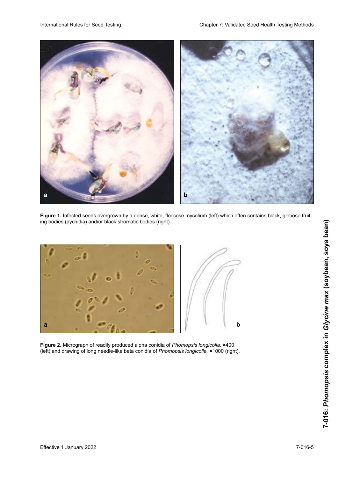

**Figure 1.** Infected seeds overgrown by a dense, white, floccose mycelium (left) which often contains black, globose fruiting bodies (pycnidia) and/or black stromatic bodies (right).



**Figure 2.** Micrograph of readily produced alpha conidia of *Phomopsis longicolla,* ×400 (left) and drawing of long needle-like beta conidia of *Phomopsis longicolla,* ×1000 (right).